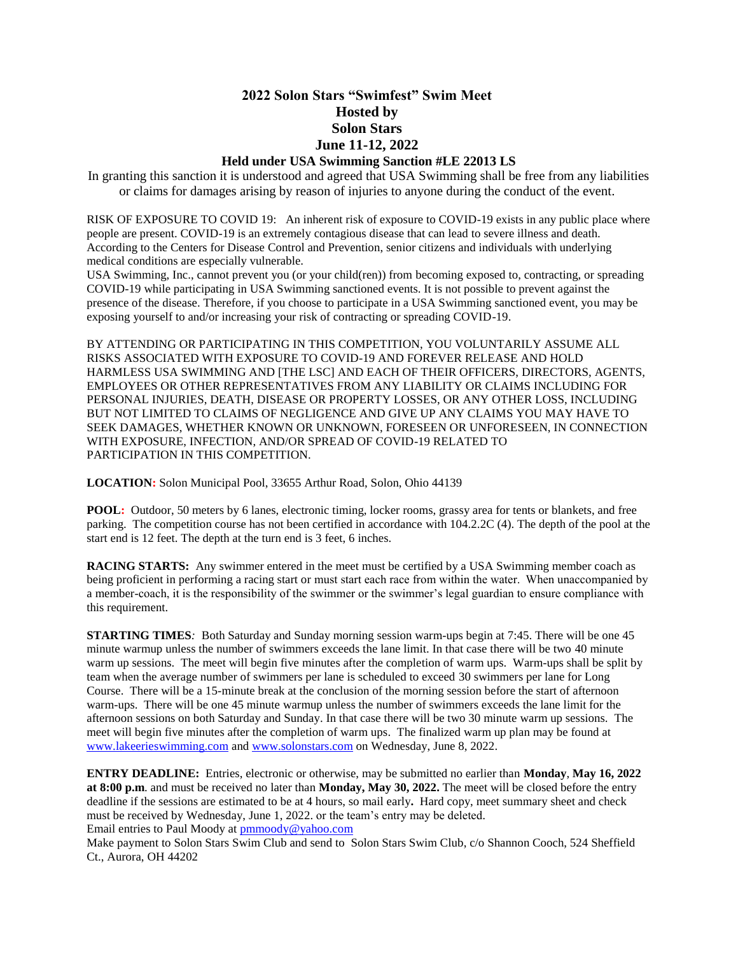# **2022 Solon Stars "Swimfest" Swim Meet Hosted by Solon Stars June 11-12, 2022**

## **Held under USA Swimming Sanction #LE 22013 LS**

In granting this sanction it is understood and agreed that USA Swimming shall be free from any liabilities or claims for damages arising by reason of injuries to anyone during the conduct of the event.

RISK OF EXPOSURE TO COVID 19: An inherent risk of exposure to COVID-19 exists in any public place where people are present. COVID-19 is an extremely contagious disease that can lead to severe illness and death. According to the Centers for Disease Control and Prevention, senior citizens and individuals with underlying medical conditions are especially vulnerable.

USA Swimming, Inc., cannot prevent you (or your child(ren)) from becoming exposed to, contracting, or spreading COVID-19 while participating in USA Swimming sanctioned events. It is not possible to prevent against the presence of the disease. Therefore, if you choose to participate in a USA Swimming sanctioned event, you may be exposing yourself to and/or increasing your risk of contracting or spreading COVID-19.

BY ATTENDING OR PARTICIPATING IN THIS COMPETITION, YOU VOLUNTARILY ASSUME ALL RISKS ASSOCIATED WITH EXPOSURE TO COVID-19 AND FOREVER RELEASE AND HOLD HARMLESS USA SWIMMING AND [THE LSC] AND EACH OF THEIR OFFICERS, DIRECTORS, AGENTS, EMPLOYEES OR OTHER REPRESENTATIVES FROM ANY LIABILITY OR CLAIMS INCLUDING FOR PERSONAL INJURIES, DEATH, DISEASE OR PROPERTY LOSSES, OR ANY OTHER LOSS, INCLUDING BUT NOT LIMITED TO CLAIMS OF NEGLIGENCE AND GIVE UP ANY CLAIMS YOU MAY HAVE TO SEEK DAMAGES, WHETHER KNOWN OR UNKNOWN, FORESEEN OR UNFORESEEN, IN CONNECTION WITH EXPOSURE, INFECTION, AND/OR SPREAD OF COVID-19 RELATED TO PARTICIPATION IN THIS COMPETITION.

**LOCATION:** Solon Municipal Pool, 33655 Arthur Road, Solon, Ohio 44139

**POOL:** Outdoor, 50 meters by 6 lanes, electronic timing, locker rooms, grassy area for tents or blankets, and free parking. The competition course has not been certified in accordance with 104.2.2C (4). The depth of the pool at the start end is 12 feet. The depth at the turn end is 3 feet, 6 inches.

**RACING STARTS:** Any swimmer entered in the meet must be certified by a USA Swimming member coach as being proficient in performing a racing start or must start each race from within the water.  When unaccompanied by a member-coach, it is the responsibility of the swimmer or the swimmer's legal guardian to ensure compliance with this requirement.

**STARTING TIMES***:* Both Saturday and Sunday morning session warm-ups begin at 7:45. There will be one 45 minute warmup unless the number of swimmers exceeds the lane limit. In that case there will be two 40 minute warm up sessions. The meet will begin five minutes after the completion of warm ups. Warm-ups shall be split by team when the average number of swimmers per lane is scheduled to exceed 30 swimmers per lane for Long Course. There will be a 15-minute break at the conclusion of the morning session before the start of afternoon warm-ups. There will be one 45 minute warmup unless the number of swimmers exceeds the lane limit for the afternoon sessions on both Saturday and Sunday. In that case there will be two 30 minute warm up sessions. The meet will begin five minutes after the completion of warm ups. The finalized warm up plan may be found at [www.lakeerieswimming.com](http://www.lakeerieswimming.com/) and [www.solonstars.com](http://www.solonstars.com/) on Wednesday, June 8, 2022.

**ENTRY DEADLINE:** Entries, electronic or otherwise, may be submitted no earlier than **Monday**, **May 16, 2022 at 8:00 p.m**. and must be received no later than **Monday, May 30, 2022.** The meet will be closed before the entry deadline if the sessions are estimated to be at 4 hours, so mail early**.** Hard copy, meet summary sheet and check must be received by Wednesday, June 1, 2022. or the team's entry may be deleted*.* Email entries to Paul Moody at [pmmoody@yahoo.com](mailto:pmmoody@yahoo.com)

Make payment to Solon Stars Swim Club and send to Solon Stars Swim Club, c/o Shannon Cooch, 524 Sheffield Ct., Aurora, OH 44202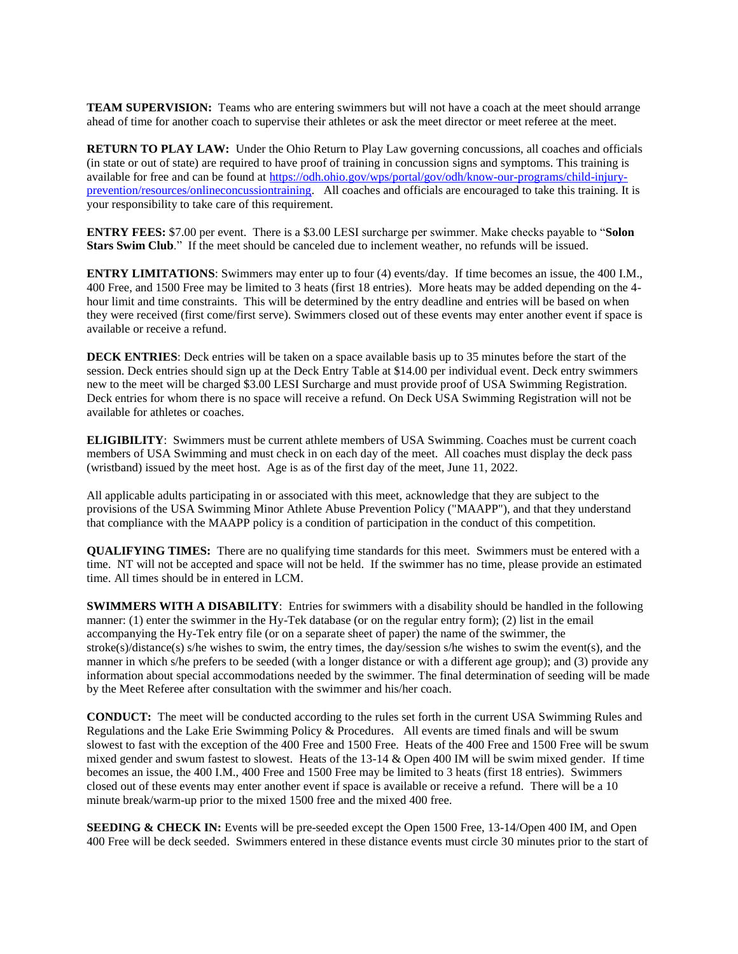**TEAM SUPERVISION:** Teams who are entering swimmers but will not have a coach at the meet should arrange ahead of time for another coach to supervise their athletes or ask the meet director or meet referee at the meet.

**RETURN TO PLAY LAW:** Under the Ohio Return to Play Law governing concussions, all coaches and officials (in state or out of state) are required to have proof of training in concussion signs and symptoms. This training is available for free and can be found at [https://odh.ohio.gov/wps/portal/gov/odh/know-our-programs/child-injury](https://odh.ohio.gov/wps/portal/gov/odh/know-our-programs/child-injury-prevention/resources/onlineconcussiontraining)[prevention/resources/onlineconcussiontraining.](https://odh.ohio.gov/wps/portal/gov/odh/know-our-programs/child-injury-prevention/resources/onlineconcussiontraining) All coaches and officials are encouraged to take this training. It is your responsibility to take care of this requirement.

**ENTRY FEES:** \$7.00 per event. There is a \$3.00 LESI surcharge per swimmer. Make checks payable to "**Solon Stars Swim Club**." If the meet should be canceled due to inclement weather, no refunds will be issued.

**ENTRY LIMITATIONS**: Swimmers may enter up to four (4) events/day. If time becomes an issue, the 400 I.M., 400 Free, and 1500 Free may be limited to 3 heats (first 18 entries). More heats may be added depending on the 4 hour limit and time constraints. This will be determined by the entry deadline and entries will be based on when they were received (first come/first serve). Swimmers closed out of these events may enter another event if space is available or receive a refund.

**DECK ENTRIES**: Deck entries will be taken on a space available basis up to 35 minutes before the start of the session. Deck entries should sign up at the Deck Entry Table at \$14.00 per individual event. Deck entry swimmers new to the meet will be charged \$3.00 LESI Surcharge and must provide proof of USA Swimming Registration. Deck entries for whom there is no space will receive a refund. On Deck USA Swimming Registration will not be available for athletes or coaches.

**ELIGIBILITY**: Swimmers must be current athlete members of USA Swimming. Coaches must be current coach members of USA Swimming and must check in on each day of the meet. All coaches must display the deck pass (wristband) issued by the meet host. Age is as of the first day of the meet, June 11, 2022.

All applicable adults participating in or associated with this meet, acknowledge that they are subject to the provisions of the USA Swimming Minor Athlete Abuse Prevention Policy ("MAAPP"), and that they understand that compliance with the MAAPP policy is a condition of participation in the conduct of this competition.

**QUALIFYING TIMES:** There are no qualifying time standards for this meet. Swimmers must be entered with a time. NT will not be accepted and space will not be held. If the swimmer has no time, please provide an estimated time. All times should be in entered in LCM.

**SWIMMERS WITH A DISABILITY**: Entries for swimmers with a disability should be handled in the following manner: (1) enter the swimmer in the Hy-Tek database (or on the regular entry form); (2) list in the email accompanying the Hy-Tek entry file (or on a separate sheet of paper) the name of the swimmer, the stroke(s)/distance(s) s/he wishes to swim, the entry times, the day/session s/he wishes to swim the event(s), and the manner in which s/he prefers to be seeded (with a longer distance or with a different age group); and (3) provide any information about special accommodations needed by the swimmer. The final determination of seeding will be made by the Meet Referee after consultation with the swimmer and his/her coach.

**CONDUCT:** The meet will be conducted according to the rules set forth in the current USA Swimming Rules and Regulations and the Lake Erie Swimming Policy & Procedures. All events are timed finals and will be swum slowest to fast with the exception of the 400 Free and 1500 Free. Heats of the 400 Free and 1500 Free will be swum mixed gender and swum fastest to slowest*.* Heats of the 13-14 & Open 400 IM will be swim mixed gender. If time becomes an issue, the 400 I.M., 400 Free and 1500 Free may be limited to 3 heats (first 18 entries). Swimmers closed out of these events may enter another event if space is available or receive a refund. There will be a 10 minute break/warm-up prior to the mixed 1500 free and the mixed 400 free.

**SEEDING & CHECK IN:** Events will be pre-seeded except the Open 1500 Free, 13-14/Open 400 IM, and Open 400 Free will be deck seeded. Swimmers entered in these distance events must circle 30 minutes prior to the start of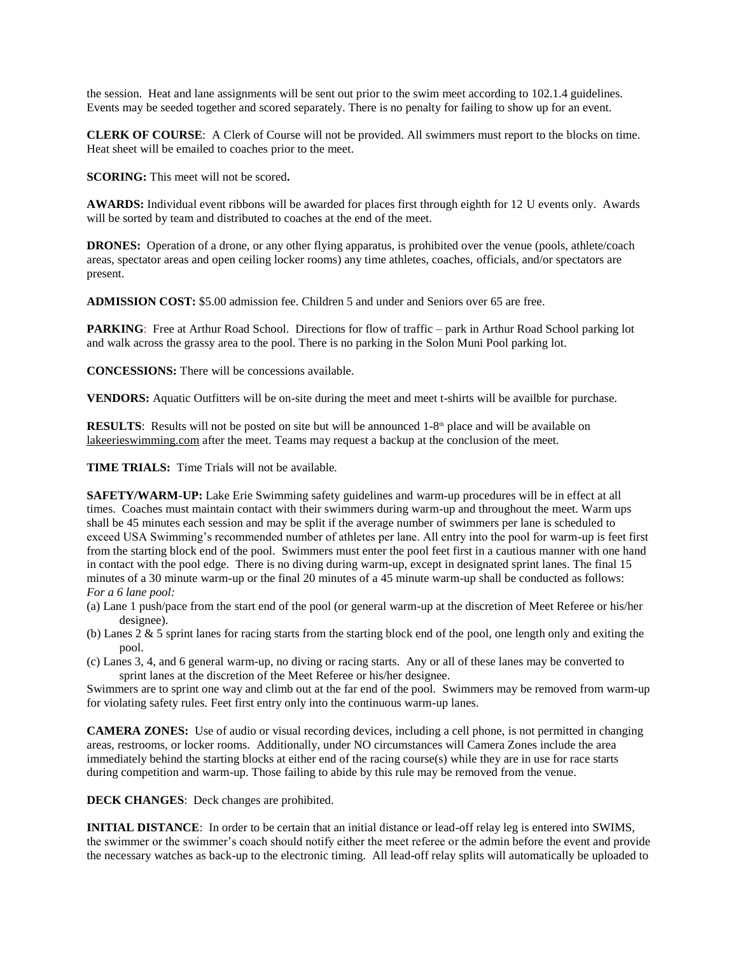the session. Heat and lane assignments will be sent out prior to the swim meet according to 102.1.4 guidelines. Events may be seeded together and scored separately. There is no penalty for failing to show up for an event.

**CLERK OF COURSE**: A Clerk of Course will not be provided. All swimmers must report to the blocks on time. Heat sheet will be emailed to coaches prior to the meet.

**SCORING:** This meet will not be scored**.**

**AWARDS:** Individual event ribbons will be awarded for places first through eighth for 12 U events only. Awards will be sorted by team and distributed to coaches at the end of the meet.

**DRONES:** Operation of a drone, or any other flying apparatus, is prohibited over the venue (pools, athlete/coach areas, spectator areas and open ceiling locker rooms) any time athletes, coaches, officials, and/or spectators are present.

**ADMISSION COST:** \$5.00 admission fee. Children 5 and under and Seniors over 65 are free.

**PARKING**: Free at Arthur Road School. Directions for flow of traffic – park in Arthur Road School parking lot and walk across the grassy area to the pool. There is no parking in the Solon Muni Pool parking lot.

**CONCESSIONS:** There will be concessions available.

**VENDORS:** Aquatic Outfitters will be on-site during the meet and meet t-shirts will be availble for purchase.

**RESULTS**: Results will not be posted on site but will be announced  $1-8<sup>th</sup>$  place and will be available on lakeerieswimming.com after the meet. Teams may request a backup at the conclusion of the meet.

**TIME TRIALS:** Time Trials will not be available*.*

**SAFETY/WARM-UP:** Lake Erie Swimming safety guidelines and warm-up procedures will be in effect at all times. Coaches must maintain contact with their swimmers during warm-up and throughout the meet. Warm ups shall be 45 minutes each session and may be split if the average number of swimmers per lane is scheduled to exceed USA Swimming's recommended number of athletes per lane. All entry into the pool for warm-up is feet first from the starting block end of the pool. Swimmers must enter the pool feet first in a cautious manner with one hand in contact with the pool edge. There is no diving during warm-up, except in designated sprint lanes. The final 15 minutes of a 30 minute warm-up or the final 20 minutes of a 45 minute warm-up shall be conducted as follows: *For a 6 lane pool:*

- (a) Lane 1 push/pace from the start end of the pool (or general warm-up at the discretion of Meet Referee or his/her designee).
- (b) Lanes  $2 \& 5$  sprint lanes for racing starts from the starting block end of the pool, one length only and exiting the pool.
- (c) Lanes 3, 4, and 6 general warm-up, no diving or racing starts. Any or all of these lanes may be converted to sprint lanes at the discretion of the Meet Referee or his/her designee.

Swimmers are to sprint one way and climb out at the far end of the pool. Swimmers may be removed from warm-up for violating safety rules. Feet first entry only into the continuous warm-up lanes.

**CAMERA ZONES:** Use of audio or visual recording devices, including a cell phone, is not permitted in changing areas, restrooms, or locker rooms. Additionally, under NO circumstances will Camera Zones include the area immediately behind the starting blocks at either end of the racing course(s) while they are in use for race starts during competition and warm-up. Those failing to abide by this rule may be removed from the venue.

**DECK CHANGES**: Deck changes are prohibited.

**INITIAL DISTANCE**: In order to be certain that an initial distance or lead-off relay leg is entered into SWIMS, the swimmer or the swimmer's coach should notify either the meet referee or the admin before the event and provide the necessary watches as back-up to the electronic timing. All lead-off relay splits will automatically be uploaded to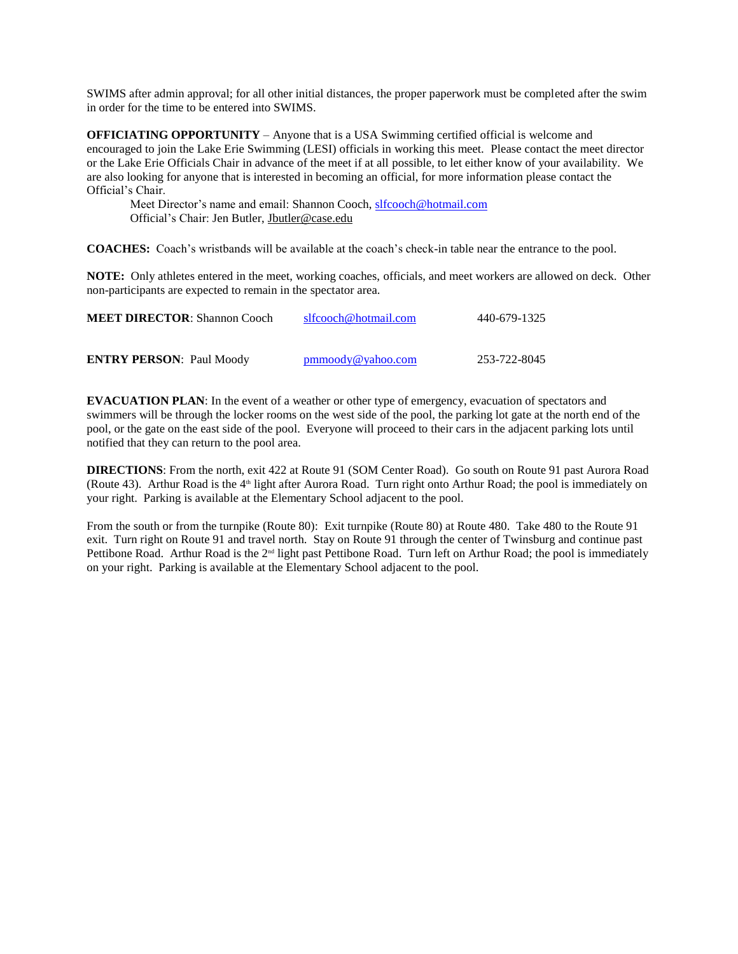SWIMS after admin approval; for all other initial distances, the proper paperwork must be completed after the swim in order for the time to be entered into SWIMS.

**OFFICIATING OPPORTUNITY** – Anyone that is a USA Swimming certified official is welcome and encouraged to join the Lake Erie Swimming (LESI) officials in working this meet. Please contact the meet director or the Lake Erie Officials Chair in advance of the meet if at all possible, to let either know of your availability. We are also looking for anyone that is interested in becoming an official, for more information please contact the Official's Chair.

Meet Director's name and email: Shannon Cooch, [slfcooch@hotmail.com](mailto:slfcooch@hotmail.com) Official's Chair: Jen Butler, [Jbutler@case.edu](mailto:Jbutler@case.edu)

**COACHES:** Coach's wristbands will be available at the coach's check-in table near the entrance to the pool.

**NOTE:** Only athletes entered in the meet, working coaches, officials, and meet workers are allowed on deck. Other non-participants are expected to remain in the spectator area.

| <b>MEET DIRECTOR: Shannon Cooch</b> | slfcooch@hotmail.com | 440-679-1325 |
|-------------------------------------|----------------------|--------------|
| <b>ENTRY PERSON: Paul Moody</b>     | pmmoody@yahoo.com    | 253-722-8045 |

**EVACUATION PLAN**: In the event of a weather or other type of emergency, evacuation of spectators and swimmers will be through the locker rooms on the west side of the pool, the parking lot gate at the north end of the pool, or the gate on the east side of the pool. Everyone will proceed to their cars in the adjacent parking lots until notified that they can return to the pool area.

**DIRECTIONS**: From the north, exit 422 at Route 91 (SOM Center Road). Go south on Route 91 past Aurora Road (Route 43). Arthur Road is the 4<sup>th</sup> light after Aurora Road. Turn right onto Arthur Road; the pool is immediately on your right. Parking is available at the Elementary School adjacent to the pool.

From the south or from the turnpike (Route 80): Exit turnpike (Route 80) at Route 480. Take 480 to the Route 91 exit. Turn right on Route 91 and travel north. Stay on Route 91 through the center of Twinsburg and continue past Pettibone Road. Arthur Road is the  $2^{nd}$  light past Pettibone Road. Turn left on Arthur Road; the pool is immediately on your right. Parking is available at the Elementary School adjacent to the pool.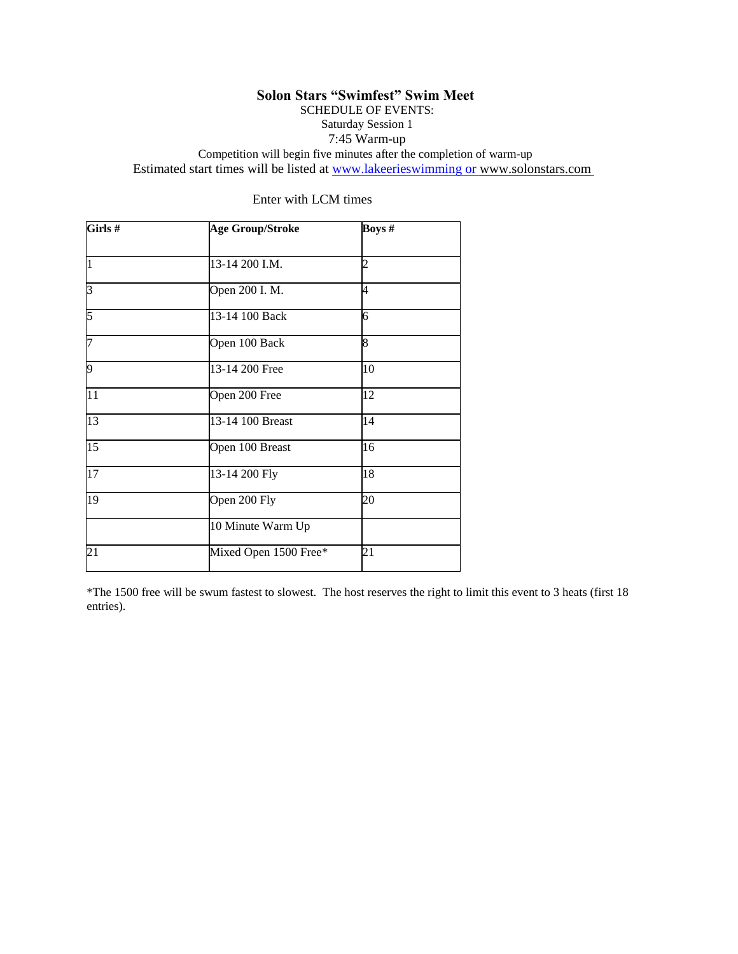# **Solon Stars "Swimfest" Swim Meet**

SCHEDULE OF EVENTS:

Saturday Session 1 7:45 Warm-up

Competition will begin five minutes after the completion of warm-up Estimated start times will be listed at www.lakeerieswimming or www.solonstars.com

| Girls#          | <b>Age Group/Stroke</b> | Boys #<br>$\overline{c}$ |  |  |
|-----------------|-------------------------|--------------------------|--|--|
| $\overline{1}$  | 13-14 200 I.M.          |                          |  |  |
| 3               | Open 200 I. M.          | 4                        |  |  |
| 5               | 13-14 100 Back          | 6                        |  |  |
| 7               | Open 100 Back           | 8                        |  |  |
| 9               | 13-14 200 Free          | 10                       |  |  |
| $\overline{11}$ | Open 200 Free           | 12                       |  |  |
| 13              | 13-14 100 Breast        | 14                       |  |  |
| $\overline{15}$ | Open 100 Breast         | 16                       |  |  |
| $\overline{17}$ | 13-14 200 Fly           | 18                       |  |  |
| 19              | Open 200 Fly            | 20                       |  |  |
|                 | 10 Minute Warm Up       |                          |  |  |
| 21              | Mixed Open 1500 Free*   | 21                       |  |  |

Enter with LCM times

\*The 1500 free will be swum fastest to slowest. The host reserves the right to limit this event to 3 heats (first 18 entries).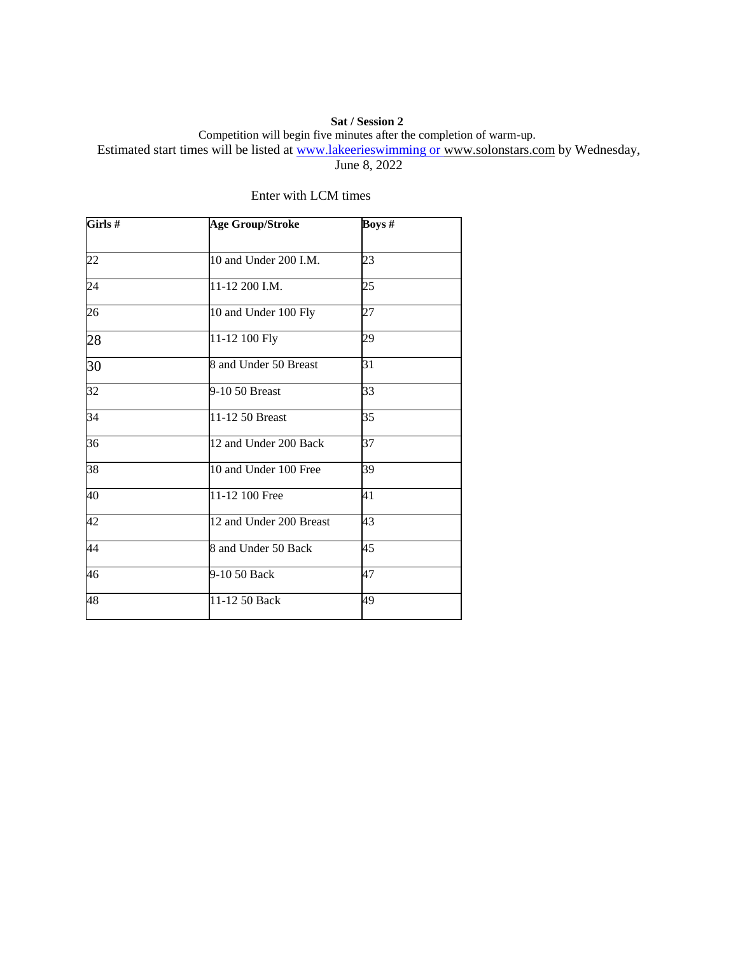### **Sat / Session 2**

Competition will begin five minutes after the completion of warm-up.

Estimated start times will be listed at www.lakeerieswimming or [www.solonstars.com](http://www.solonstars.com/) by Wednesday,

June 8, 2022

| Girls # | <b>Age Group/Stroke</b> | Boys # |  |
|---------|-------------------------|--------|--|
| 22      | 10 and Under 200 I.M.   | 23     |  |
| 24      | 11-12 200 I.M.          | 25     |  |
| 26      | 10 and Under 100 Fly    | 27     |  |
| 28      | 11-12 100 Fly           | 29     |  |
| 30      | 8 and Under 50 Breast   | 31     |  |
| 32      | 9-10 50 Breast          | 33     |  |
| 34      | 11-12 50 Breast         | 35     |  |
| 36      | 12 and Under 200 Back   | 37     |  |
| 38      | 10 and Under 100 Free   | 39     |  |
| 40      | 11-12 100 Free          | 41     |  |
| 42      | 12 and Under 200 Breast | 43     |  |
| 44      | 8 and Under 50 Back     | 45     |  |
| 46      | 9-10 50 Back            | 47     |  |
| 48      | 11-12 50 Back           | 49     |  |
|         |                         |        |  |

## Enter with LCM times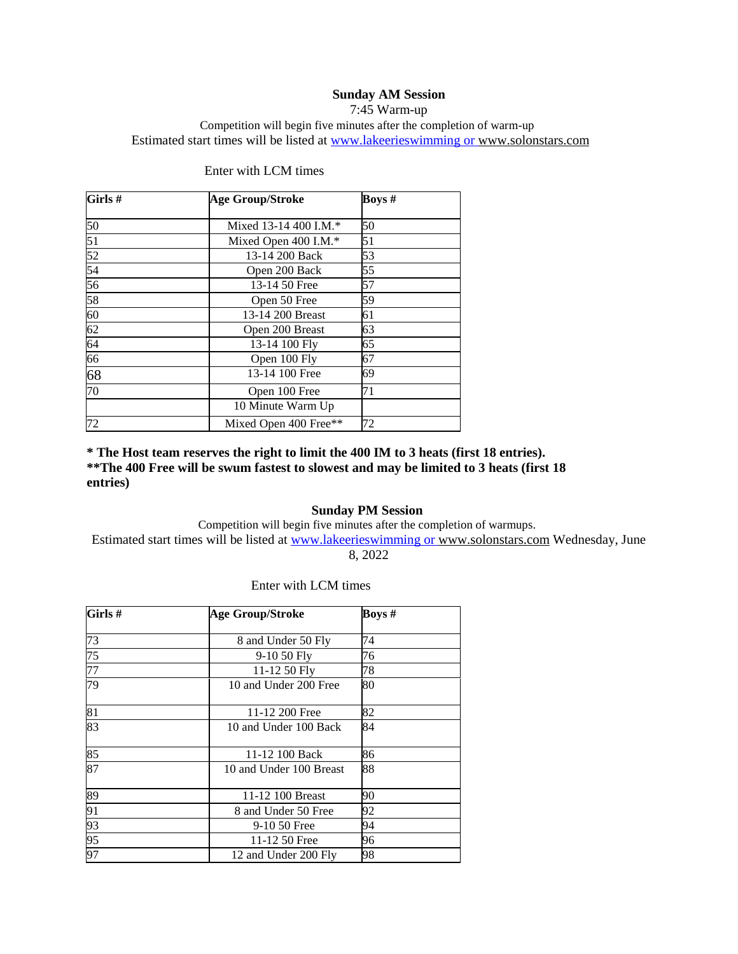### **Sunday AM Session**

7:45 Warm-up

Competition will begin five minutes after the completion of warm-up Estimated start times will be listed at www.lakeerieswimming or [www.solonstars.com](http://www.solonstars.com/) 

| Girls#          | <b>Age Group/Stroke</b> | <b>Boys</b> # |  |
|-----------------|-------------------------|---------------|--|
| 50              | Mixed 13-14 400 I.M.*   | 50            |  |
| $\overline{51}$ | Mixed Open 400 I.M.*    | 51            |  |
| 52              | 13-14 200 Back          | 53            |  |
| 54              | Open 200 Back           | 55            |  |
| 56              | 13-14 50 Free           | 57            |  |
| 58              | Open 50 Free            | 59            |  |
| 60              | 13-14 200 Breast        | 61            |  |
| $\overline{62}$ | Open 200 Breast         | 63            |  |
| $\overline{64}$ | 13-14 100 Fly           | 65            |  |
| 66              | Open 100 Fly            | 67            |  |
| 68              | 13-14 100 Free          | 69            |  |
| $\overline{70}$ | Open 100 Free           | 71            |  |
|                 | 10 Minute Warm Up       |               |  |
| 72              | Mixed Open 400 Free**   | 72            |  |

#### Enter with LCM times

**\* The Host team reserves the right to limit the 400 IM to 3 heats (first 18 entries). \*\*The 400 Free will be swum fastest to slowest and may be limited to 3 heats (first 18 entries)**

### **Sunday PM Session**

Competition will begin five minutes after the completion of warmups. Estimated start times will be listed at www.lakeerieswimming or [www.solonstars.com](http://www.solonstars.com/) Wednesday, June 8, 2022

| Girls #         | <b>Age Group/Stroke</b> | <b>Boys</b> # |  |
|-----------------|-------------------------|---------------|--|
| 73              | 8 and Under 50 Fly      | 74            |  |
| 75              | 9-10 50 Fly             | 76            |  |
| 77              | 11-12 50 Fly            | 78            |  |
| 79              | 10 and Under 200 Free   | 80            |  |
| 81              | 11-12 200 Free          | 82            |  |
| 83              | 10 and Under 100 Back   | 84            |  |
| 85              | 11-12 100 Back          | 86            |  |
| 87              | 10 and Under 100 Breast | 88            |  |
| 89              | 11-12 100 Breast        | 90            |  |
| 91              | 8 and Under 50 Free     | 92            |  |
| 93              | 9-10 50 Free            | 94            |  |
| $\overline{95}$ | 11-12 50 Free           | 96            |  |
| 97              | 12 and Under 200 Fly    | 98            |  |

#### Enter with LCM times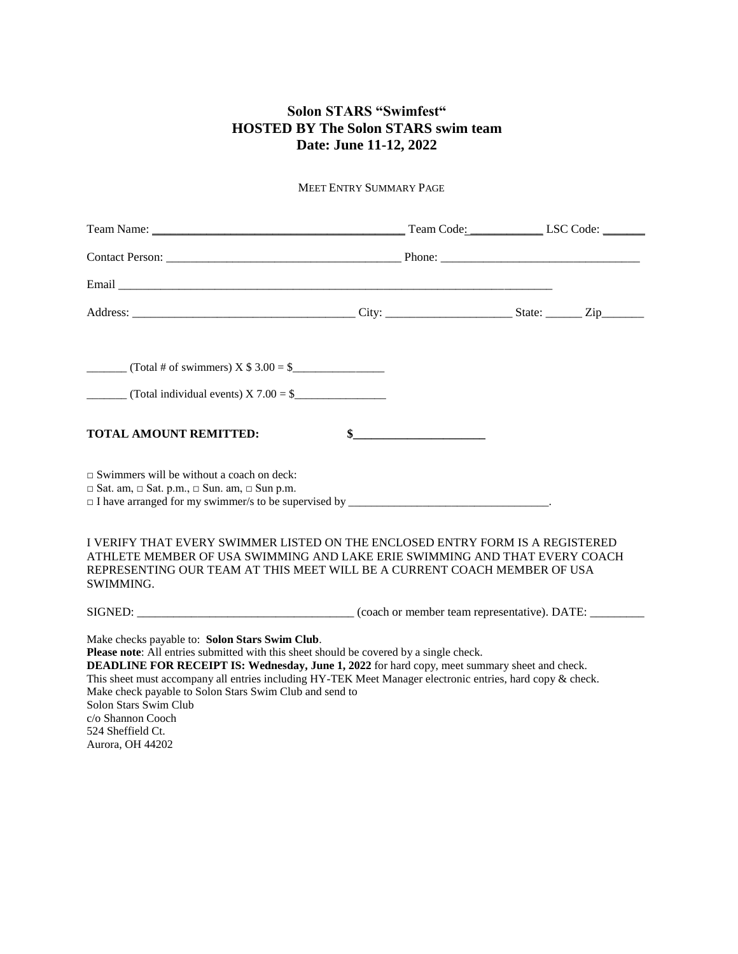# **Solon STARS "Swimfest" HOSTED BY The Solon STARS swim team Date: June 11-12, 2022**

MEET ENTRY SUMMARY PAGE

| $\frac{1}{2}$ (Total individual events) X 7.00 = \$                                                                                                                                                                                                                                                                                                                                                                                                                                           |        |  |
|-----------------------------------------------------------------------------------------------------------------------------------------------------------------------------------------------------------------------------------------------------------------------------------------------------------------------------------------------------------------------------------------------------------------------------------------------------------------------------------------------|--------|--|
| <b>TOTAL AMOUNT REMITTED:</b>                                                                                                                                                                                                                                                                                                                                                                                                                                                                 | $\sim$ |  |
| $\Box$ Swimmers will be without a coach on deck:<br>$\Box$ Sat. am, $\Box$ Sat. p.m., $\Box$ Sun. am, $\Box$ Sun p.m.                                                                                                                                                                                                                                                                                                                                                                         |        |  |
| I VERIFY THAT EVERY SWIMMER LISTED ON THE ENCLOSED ENTRY FORM IS A REGISTERED<br>ATHLETE MEMBER OF USA SWIMMING AND LAKE ERIE SWIMMING AND THAT EVERY COACH<br>REPRESENTING OUR TEAM AT THIS MEET WILL BE A CURRENT COACH MEMBER OF USA<br><b>SWIMMING.</b>                                                                                                                                                                                                                                   |        |  |
|                                                                                                                                                                                                                                                                                                                                                                                                                                                                                               |        |  |
| Make checks payable to: Solon Stars Swim Club.<br>Please note: All entries submitted with this sheet should be covered by a single check.<br><b>DEADLINE FOR RECEIPT IS: Wednesday, June 1, 2022</b> for hard copy, meet summary sheet and check.<br>This sheet must accompany all entries including HY-TEK Meet Manager electronic entries, hard copy & check.<br>Make check payable to Solon Stars Swim Club and send to<br>Solon Stars Swim Club<br>c/o Shannon Cooch<br>524 Sheffield Ct. |        |  |

Aurora, OH 44202